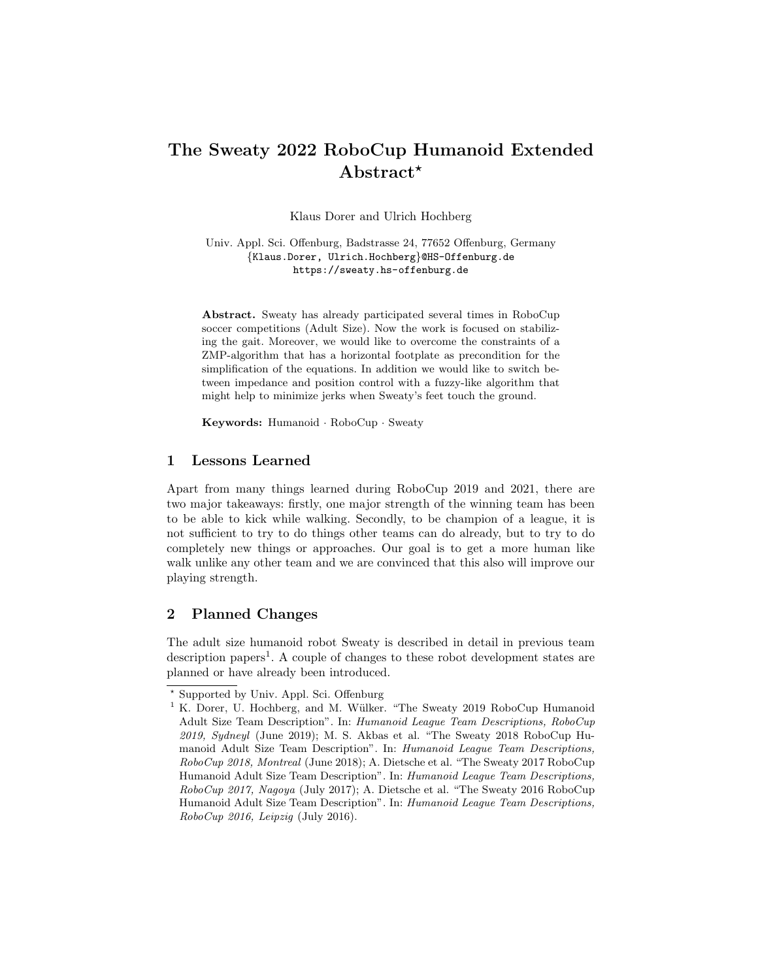# The Sweaty 2022 RoboCup Humanoid Extended Abstract<sup>\*</sup>

Klaus Dorer and Ulrich Hochberg

Univ. Appl. Sci. Offenburg, Badstrasse 24, 77652 Offenburg, Germany {Klaus.Dorer, Ulrich.Hochberg}@HS-Offenburg.de https://sweaty.hs-offenburg.de

Abstract. Sweaty has already participated several times in RoboCup soccer competitions (Adult Size). Now the work is focused on stabilizing the gait. Moreover, we would like to overcome the constraints of a ZMP-algorithm that has a horizontal footplate as precondition for the simplification of the equations. In addition we would like to switch between impedance and position control with a fuzzy-like algorithm that might help to minimize jerks when Sweaty's feet touch the ground.

Keywords: Humanoid · RoboCup · Sweaty

## 1 Lessons Learned

Apart from many things learned during RoboCup 2019 and 2021, there are two major takeaways: firstly, one major strength of the winning team has been to be able to kick while walking. Secondly, to be champion of a league, it is not sufficient to try to do things other teams can do already, but to try to do completely new things or approaches. Our goal is to get a more human like walk unlike any other team and we are convinced that this also will improve our playing strength.

# 2 Planned Changes

The adult size humanoid robot Sweaty is described in detail in previous team description papers<sup>1</sup>. A couple of changes to these robot development states are planned or have already been introduced.

<sup>?</sup> Supported by Univ. Appl. Sci. Offenburg

<sup>&</sup>lt;sup>1</sup> K. Dorer, U. Hochberg, and M. Wülker. "The Sweaty 2019 RoboCup Humanoid Adult Size Team Description". In: Humanoid League Team Descriptions, RoboCup 2019, Sydneyl (June 2019); M. S. Akbas et al. "The Sweaty 2018 RoboCup Humanoid Adult Size Team Description". In: Humanoid League Team Descriptions, RoboCup 2018, Montreal (June 2018); A. Dietsche et al. "The Sweaty 2017 RoboCup Humanoid Adult Size Team Description". In: Humanoid League Team Descriptions, RoboCup 2017, Nagoya (July 2017); A. Dietsche et al. "The Sweaty 2016 RoboCup Humanoid Adult Size Team Description". In: Humanoid League Team Descriptions, RoboCup 2016, Leipzig (July 2016).